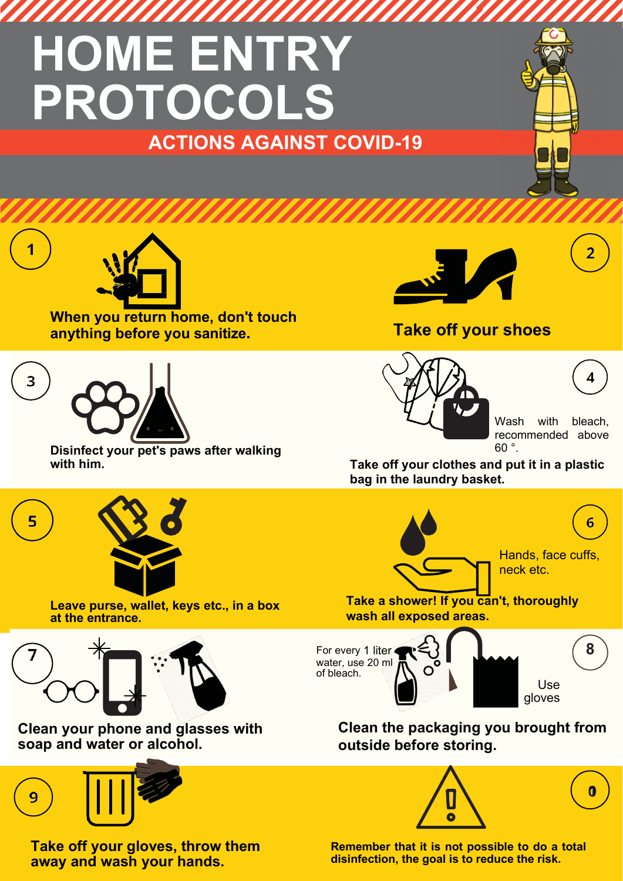## **HOME ENTRY PROTOCOLS ACTIONS AGAINST COVID-19**

#### **anything before you sanitize. Take off your shoes**



Wash with bleach, recommended above 60 °.

 $\overline{2}$ 

**Take off your clothes and put it in a plastic bag in the laundry basket.**



**Take a shower! If you can't, thoroughly wash all exposed areas.**



**Clean the packaging you brought from outside before storing.**



**Remember that it is not possible to do a total disinfection, the goal is to reduce the risk.**

**When you return home, don't touch** 



**Disinfect your pet's paws after walking with him.**

**Leave purse, wallet, keys etc., in a box** 



3

**at the entrance.**



**Clean your phone and glasses with soap and water or alcohol.**



**Take off your gloves, throw them away and wash your hands.**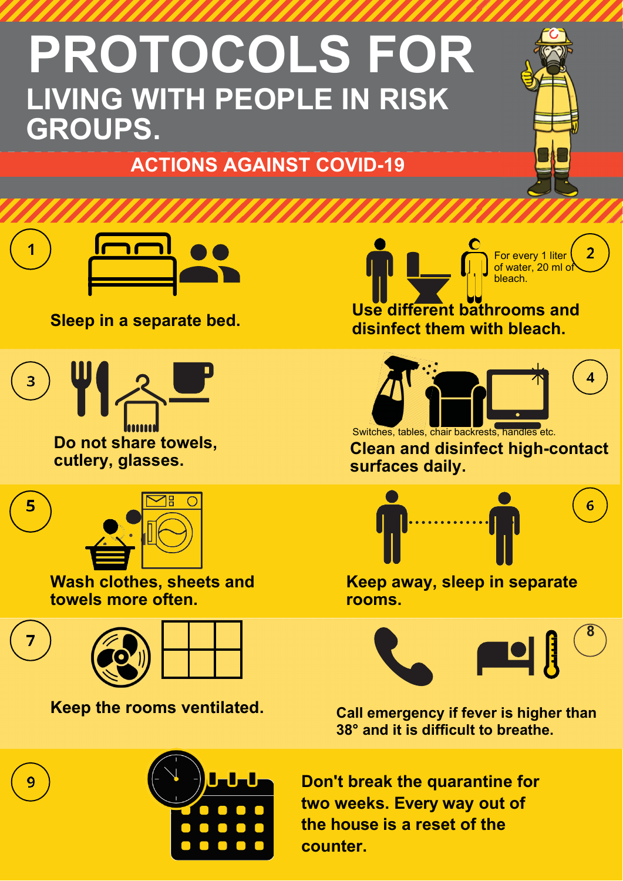## **PROTOCOLS FOR LIVING WITH PEOPLE IN RISK GROUPS.**

### **ACTIONS AGAINST COVID-19**



**Sleep in a separate bed.**



**Do not share towels, cutlery, glasses.**



**Wash clothes, sheets and towels more often.**



9



**Keep the rooms ventilated.**



of water, 20 ml of bleach. **Use different bathrooms and disinfect them with bleach.**

For every 1 liter



**Clean and disinfect high-contact surfaces daily.**



**Keep away, sleep in separate rooms.**



**Call emergency if fever is higher than 38° and it is difficult to breathe.**

**Don't break the quarantine for two weeks. Every way out of the house is a reset of the counter.**